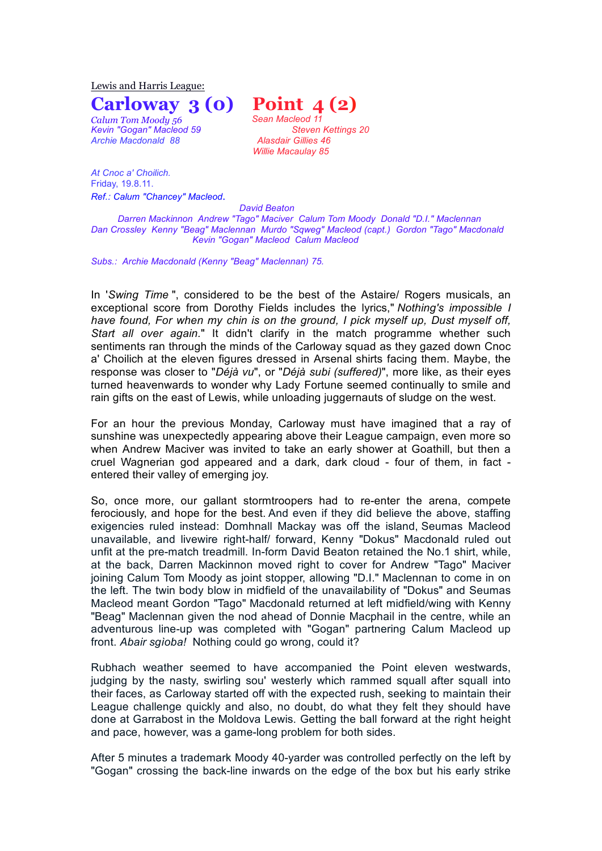Lewis and Harris League:

*Calum Tom Moody 56 Sean Macleod 11 Archie Macdonald 88 Alasdair Gillies 46* 

*At Cnoc a' Choilich.* Friday, 19.8.11. *Ref.: Calum "Chancey" Macleod*.

**Carloway 3 (0) Point 4 (2)** *Kevin "Gogan" Macleod 59 Steven Kettings 20 Willie Macaulay 85*

 *David Beaton Darren Mackinnon Andrew "Tago" Maciver Calum Tom Moody Donald "D.I." Maclennan Dan Crossley Kenny "Beag" Maclennan Murdo "Sqweg" Macleod (capt.) Gordon "Tago" Macdonald Kevin "Gogan" Macleod Calum Macleod*

*Subs.: Archie Macdonald (Kenny "Beag" Maclennan) 75.*

In '*Swing Time* ", considered to be the best of the Astaire/ Rogers musicals, an exceptional score from Dorothy Fields includes the lyrics," *Nothing's impossible I have found, For when my chin is on the ground, I pick myself up, Dust myself off, Start all over again.*" It didn't clarify in the match programme whether such sentiments ran through the minds of the Carloway squad as they gazed down Cnoc a' Choilich at the eleven figures dressed in Arsenal shirts facing them. Maybe, the response was closer to "*Déjà vu*", or "*Déjà subi (suffered)*", more like, as their eyes turned heavenwards to wonder why Lady Fortune seemed continually to smile and rain gifts on the east of Lewis, while unloading juggernauts of sludge on the west.

For an hour the previous Monday, Carloway must have imagined that a ray of sunshine was unexpectedly appearing above their League campaign, even more so when Andrew Maciver was invited to take an early shower at Goathill, but then a cruel Wagnerian god appeared and a dark, dark cloud - four of them, in fact entered their valley of emerging joy.

So, once more, our gallant stormtroopers had to re-enter the arena, compete ferociously, and hope for the best. And even if they did believe the above, staffing exigencies ruled instead: Domhnall Mackay was off the island, Seumas Macleod unavailable, and livewire right-half/ forward, Kenny "Dokus" Macdonald ruled out unfit at the pre-match treadmill. In-form David Beaton retained the No.1 shirt, while, at the back, Darren Mackinnon moved right to cover for Andrew "Tago" Maciver joining Calum Tom Moody as joint stopper, allowing "D.I." Maclennan to come in on the left. The twin body blow in midfield of the unavailability of "Dokus" and Seumas Macleod meant Gordon "Tago" Macdonald returned at left midfield/wing with Kenny "Beag" Maclennan given the nod ahead of Donnie Macphail in the centre, while an adventurous line-up was completed with "Gogan" partnering Calum Macleod up front. *Abair sgìoba!* Nothing could go wrong, could it?

Rubhach weather seemed to have accompanied the Point eleven westwards, judging by the nasty, swirling sou' westerly which rammed squall after squall into their faces, as Carloway started off with the expected rush, seeking to maintain their League challenge quickly and also, no doubt, do what they felt they should have done at Garrabost in the Moldova Lewis. Getting the ball forward at the right height and pace, however, was a game-long problem for both sides.

After 5 minutes a trademark Moody 40-yarder was controlled perfectly on the left by "Gogan" crossing the back-line inwards on the edge of the box but his early strike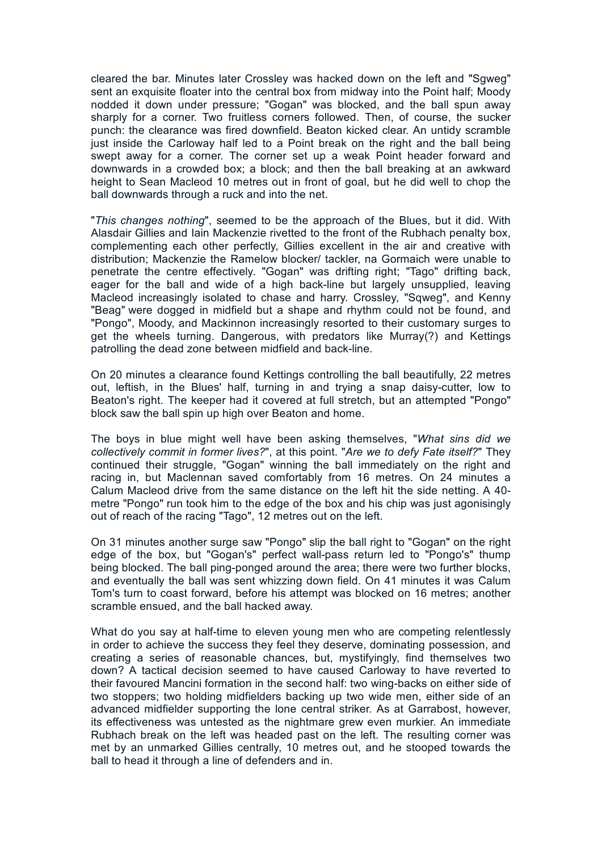cleared the bar. Minutes later Crossley was hacked down on the left and "Sgweg" sent an exquisite floater into the central box from midway into the Point half; Moody nodded it down under pressure; "Gogan" was blocked, and the ball spun away sharply for a corner. Two fruitless corners followed. Then, of course, the sucker punch: the clearance was fired downfield. Beaton kicked clear. An untidy scramble just inside the Carloway half led to a Point break on the right and the ball being swept away for a corner. The corner set up a weak Point header forward and downwards in a crowded box; a block; and then the ball breaking at an awkward height to Sean Macleod 10 metres out in front of goal, but he did well to chop the ball downwards through a ruck and into the net.

"*This changes nothing*", seemed to be the approach of the Blues, but it did. With Alasdair Gillies and Iain Mackenzie rivetted to the front of the Rubhach penalty box, complementing each other perfectly, Gillies excellent in the air and creative with distribution; Mackenzie the Ramelow blocker/ tackler, na Gormaich were unable to penetrate the centre effectively. "Gogan" was drifting right; "Tago" drifting back, eager for the ball and wide of a high back-line but largely unsupplied, leaving Macleod increasingly isolated to chase and harry. Crossley, "Sqweg", and Kenny "Beag" were dogged in midfield but a shape and rhythm could not be found, and "Pongo", Moody, and Mackinnon increasingly resorted to their customary surges to get the wheels turning. Dangerous, with predators like Murray(?) and Kettings patrolling the dead zone between midfield and back-line.

On 20 minutes a clearance found Kettings controlling the ball beautifully, 22 metres out, leftish, in the Blues' half, turning in and trying a snap daisy-cutter, low to Beaton's right. The keeper had it covered at full stretch, but an attempted "Pongo" block saw the ball spin up high over Beaton and home.

The boys in blue might well have been asking themselves, "*What sins did we collectively commit in former lives?*", at this point. "*Are we to defy Fate itself?*" They continued their struggle, "Gogan" winning the ball immediately on the right and racing in, but Maclennan saved comfortably from 16 metres. On 24 minutes a Calum Macleod drive from the same distance on the left hit the side netting. A 40 metre "Pongo" run took him to the edge of the box and his chip was just agonisingly out of reach of the racing "Tago", 12 metres out on the left.

On 31 minutes another surge saw "Pongo" slip the ball right to "Gogan" on the right edge of the box, but "Gogan's" perfect wall-pass return led to "Pongo's" thump being blocked. The ball ping-ponged around the area; there were two further blocks, and eventually the ball was sent whizzing down field. On 41 minutes it was Calum Tom's turn to coast forward, before his attempt was blocked on 16 metres; another scramble ensued, and the ball hacked away.

What do you say at half-time to eleven young men who are competing relentlessly in order to achieve the success they feel they deserve, dominating possession, and creating a series of reasonable chances, but, mystifyingly, find themselves two down? A tactical decision seemed to have caused Carloway to have reverted to their favoured Mancini formation in the second half: two wing-backs on either side of two stoppers; two holding midfielders backing up two wide men, either side of an advanced midfielder supporting the lone central striker. As at Garrabost, however, its effectiveness was untested as the nightmare grew even murkier. An immediate Rubhach break on the left was headed past on the left. The resulting corner was met by an unmarked Gillies centrally, 10 metres out, and he stooped towards the ball to head it through a line of defenders and in.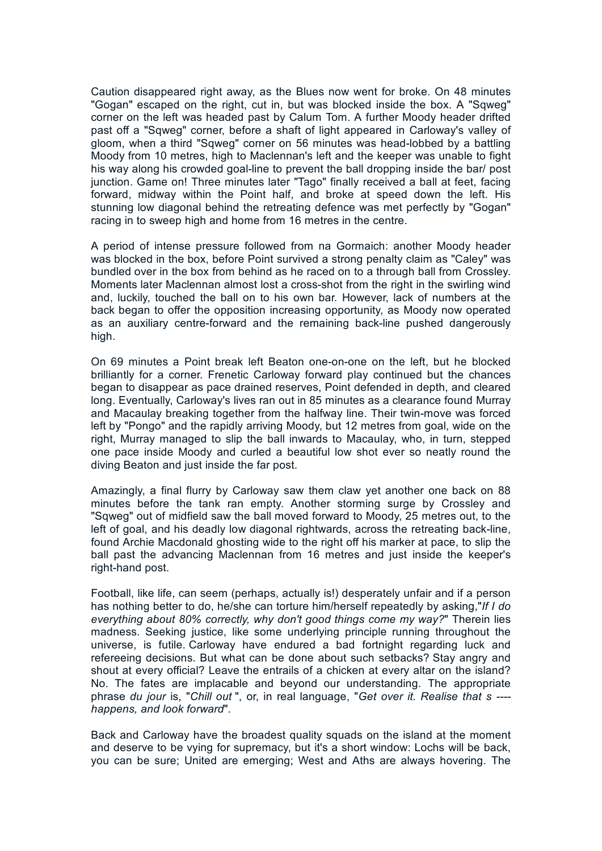Caution disappeared right away, as the Blues now went for broke. On 48 minutes "Gogan" escaped on the right, cut in, but was blocked inside the box. A "Sqweg" corner on the left was headed past by Calum Tom. A further Moody header drifted past off a "Sqweg" corner, before a shaft of light appeared in Carloway's valley of gloom, when a third "Sqweg" corner on 56 minutes was head-lobbed by a battling Moody from 10 metres, high to Maclennan's left and the keeper was unable to fight his way along his crowded goal-line to prevent the ball dropping inside the bar/ post junction. Game on! Three minutes later "Tago" finally received a ball at feet, facing forward, midway within the Point half, and broke at speed down the left. His stunning low diagonal behind the retreating defence was met perfectly by "Gogan" racing in to sweep high and home from 16 metres in the centre.

A period of intense pressure followed from na Gormaich: another Moody header was blocked in the box, before Point survived a strong penalty claim as "Caley" was bundled over in the box from behind as he raced on to a through ball from Crossley. Moments later Maclennan almost lost a cross-shot from the right in the swirling wind and, luckily, touched the ball on to his own bar. However, lack of numbers at the back began to offer the opposition increasing opportunity, as Moody now operated as an auxiliary centre-forward and the remaining back-line pushed dangerously high.

On 69 minutes a Point break left Beaton one-on-one on the left, but he blocked brilliantly for a corner. Frenetic Carloway forward play continued but the chances began to disappear as pace drained reserves, Point defended in depth, and cleared long. Eventually, Carloway's lives ran out in 85 minutes as a clearance found Murray and Macaulay breaking together from the halfway line. Their twin-move was forced left by "Pongo" and the rapidly arriving Moody, but 12 metres from goal, wide on the right, Murray managed to slip the ball inwards to Macaulay, who, in turn, stepped one pace inside Moody and curled a beautiful low shot ever so neatly round the diving Beaton and just inside the far post.

Amazingly, a final flurry by Carloway saw them claw yet another one back on 88 minutes before the tank ran empty. Another storming surge by Crossley and "Sqweg" out of midfield saw the ball moved forward to Moody, 25 metres out, to the left of goal, and his deadly low diagonal rightwards, across the retreating back-line, found Archie Macdonald ghosting wide to the right off his marker at pace, to slip the ball past the advancing Maclennan from 16 metres and just inside the keeper's right-hand post.

Football, like life, can seem (perhaps, actually is!) desperately unfair and if a person has nothing better to do, he/she can torture him/herself repeatedly by asking,"*If I do everything about 80% correctly, why don't good things come my way?*" Therein lies madness. Seeking justice, like some underlying principle running throughout the universe, is futile. Carloway have endured a bad fortnight regarding luck and refereeing decisions. But what can be done about such setbacks? Stay angry and shout at every official? Leave the entrails of a chicken at every altar on the island? No. The fates are implacable and beyond our understanding. The appropriate phrase *du jour* is, "*Chill out* ", or, in real language, "*Get over it. Realise that s --- happens, and look forward*".

Back and Carloway have the broadest quality squads on the island at the moment and deserve to be vying for supremacy, but it's a short window: Lochs will be back, you can be sure; United are emerging; West and Aths are always hovering. The